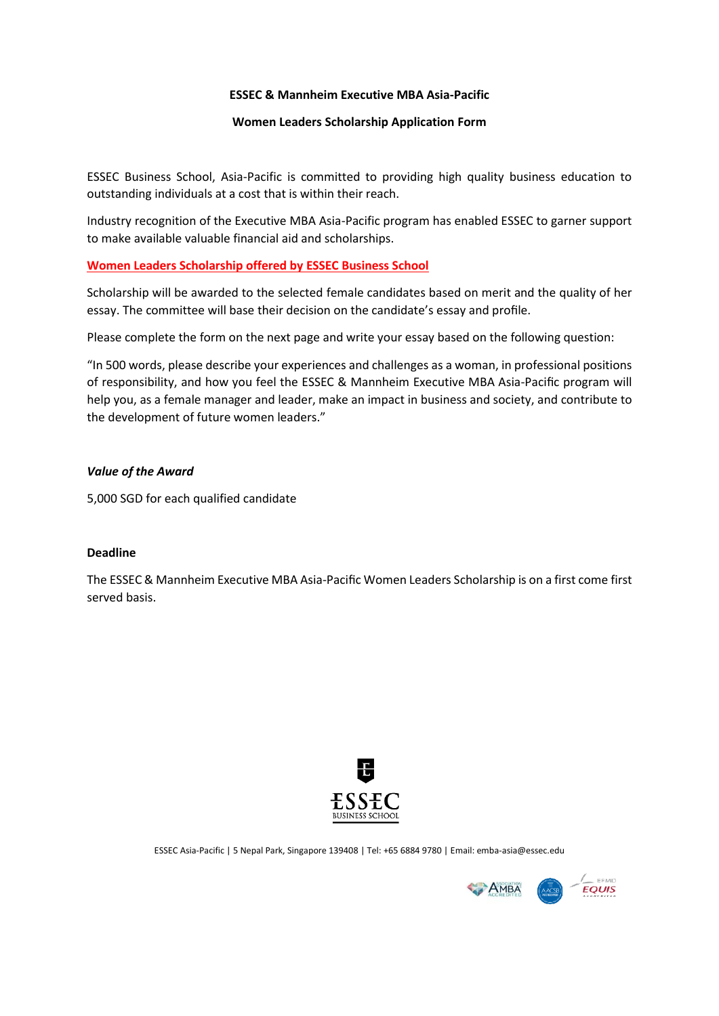### **ESSEC & Mannheim Executive MBA Asia-Pacific**

## **Women Leaders Scholarship Application Form**

ESSEC Business School, Asia-Pacific is committed to providing high quality business education to outstanding individuals at a cost that is within their reach.

Industry recognition of the Executive MBA Asia-Pacific program has enabled ESSEC to garner support to make available valuable financial aid and scholarships.

## **Women Leaders Scholarship offered by ESSEC Business School**

Scholarship will be awarded to the selected female candidates based on merit and the quality of her essay. The committee will base their decision on the candidate's essay and profile.

Please complete the form on the next page and write your essay based on the following question:

"In 500 words, please describe your experiences and challenges as a woman, in professional positions of responsibility, and how you feel the ESSEC & Mannheim Executive MBA Asia-Pacific program will help you, as a female manager and leader, make an impact in business and society, and contribute to the development of future women leaders."

## *Value of the Award*

5,000 SGD for each qualified candidate

### **Deadline**

The ESSEC & Mannheim Executive MBA Asia-Pacific Women Leaders Scholarship is on a first come first served basis.



ESSEC Asia-Pacific | 5 Nepal Park, Singapore 139408 | Tel: +65 6884 9780 | Email: emba-asia@essec.edu

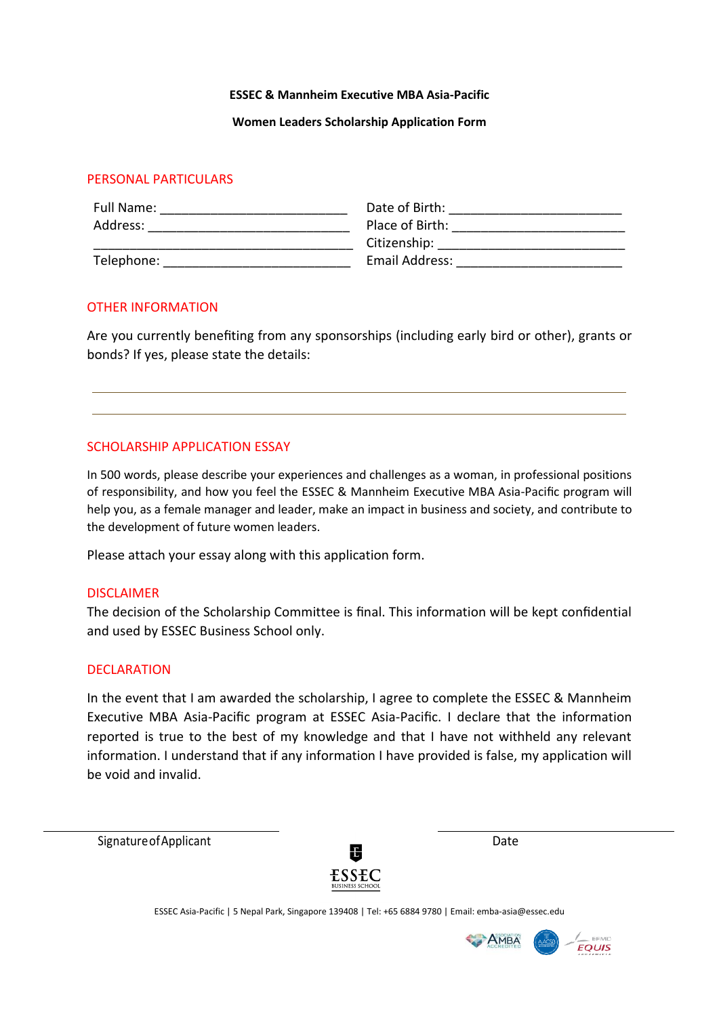#### **ESSEC & Mannheim Executive MBA Asia-Pacific**

### **Women Leaders Scholarship Application Form**

# PERSONAL PARTICULARS

| Full Name: | Date of Birth:  |
|------------|-----------------|
| Address:   | Place of Birth: |
|            | Citizenship:    |
| Telephone: | Email Address:  |

## OTHER INFORMATION

Are you currently benefiting from any sponsorships (including early bird or other), grants or bonds? If yes, please state the details:

## SCHOLARSHIP APPLICATION ESSAY

In 500 words, please describe your experiences and challenges as a woman, in professional positions of responsibility, and how you feel the ESSEC & Mannheim Executive MBA Asia-Pacific program will help you, as a female manager and leader, make an impact in business and society, and contribute to the development of future women leaders.

Please attach your essay along with this application form.

### DISCLAIMER

The decision of the Scholarship Committee is final. This information will be kept confidential and used by ESSEC Business School only.

### DECLARATION

In the event that I am awarded the scholarship, I agree to complete the ESSEC & Mannheim Executive MBA Asia-Pacific program at ESSEC Asia-Pacific. I declare that the information reported is true to the best of my knowledge and that I have not withheld any relevant information. I understand that if any information I have provided is false, my application will be void and invalid.

Signature of Applicant Date Date Date



ESSEC Asia-Pacific | 5 Nepal Park, Singapore 139408 | Tel: +65 6884 9780 | Email: emba-asia@essec.edu